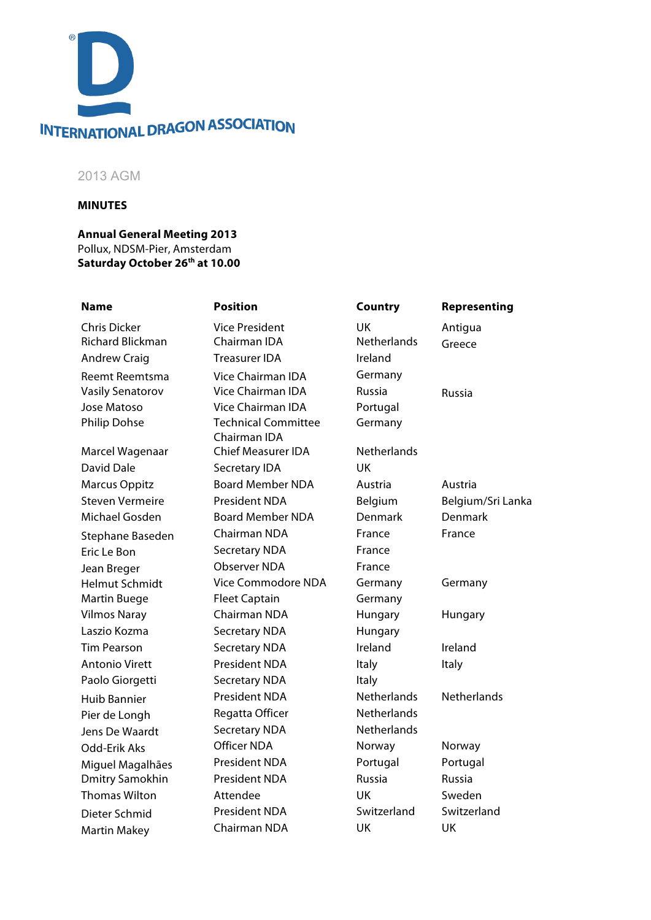

# 2013 AGM

#### **MINUTES**

**Annual General Meeting 2013** Pollux, NDSM-Pier, Amsterdam **Saturday October 26th at 10.00**

Martin Makey **Chairman NDA** UK UK UK

Chris Dicker Vice President UK Antigua Richard Blickman Chairman IDA Netherlands Greece Andrew Craig **Treasurer IDA** Ireland Reemt Reemtsma Vice Chairman IDA Germany Vasily Senatorov Vice Chairman IDA Russia Russia Jose Matoso Vice Chairman IDA Portugal Philip Dohse Technical Committee Chairman IDA Marcel Wagenaar Chief Measurer IDA Netherlands David Dale Secretary IDA UK Marcus Oppitz **Board Member NDA** Austria Austria Steven Vermeire President NDA Belgium Belgium/Sri Lanka Michael Gosden Board Member NDA Denmark Denmark Stephane Baseden Chairman NDA France France Eric Le Bon Secretary NDA France Jean Breger **Constructs** Observer NDA France Helmut Schmidt Vice Commodore NDA Germany Germany Martin Buege **Fleet Captain** Germany Vilmos Naray **Chairman NDA** Hungary Hungary Laszio Kozma Secretary NDA Hungary Tim Pearson Secretary NDA Ireland Ireland Antonio Virett **President NDA** Italy Italy Italy Paolo Giorgetti Secretary NDA Italy Huib Bannier **President NDA** Netherlands Netherlands Pier de Longh Regatta Officer Netherlands Jens De Waardt Secretary NDA Netherlands Odd-Erik Aks **Officer NDA** Norway Norway Miguel Magalhães President NDA Portugal Portugal Dmitry Samokhin President NDA Russia Russia Thomas Wilton Attendee UK Sweden Dieter Schmid President NDA Switzerland Switzerland

# **Name Position Country Representing** Germany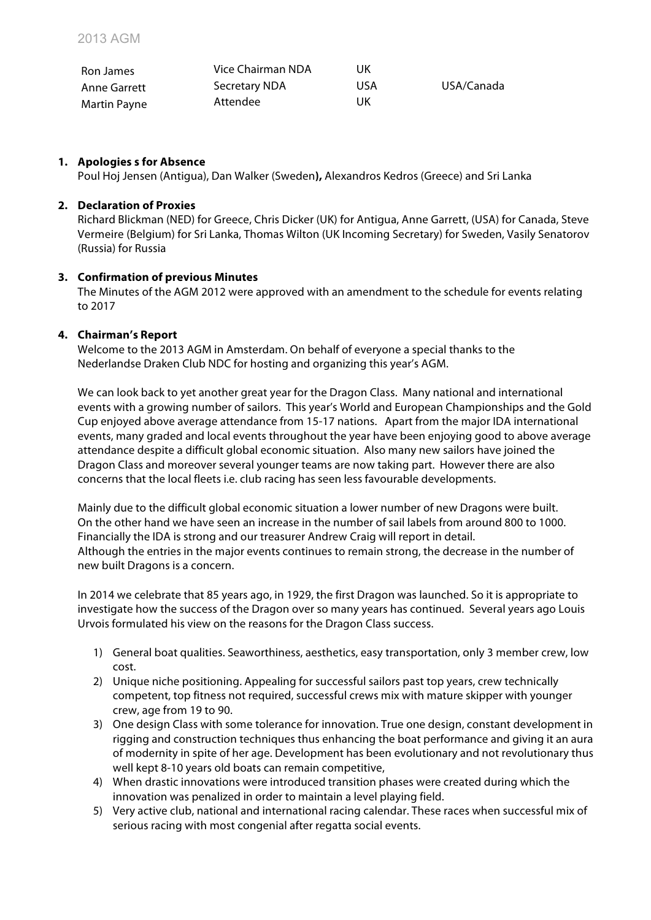| Ron James    | Vice Chairman NDA    | UK  |            |
|--------------|----------------------|-----|------------|
| Anne Garrett | <b>Secretary NDA</b> | USA | USA/Canada |
| Martin Payne | Attendee             | UK  |            |

# **1. Apologies s for Absence**

Poul Hoj Jensen (Antigua), Dan Walker (Sweden**),** Alexandros Kedros (Greece) and Sri Lanka

#### **2. Declaration of Proxies**

Richard Blickman (NED) for Greece, Chris Dicker (UK) for Antigua, Anne Garrett, (USA) for Canada, Steve Vermeire (Belgium) for Sri Lanka, Thomas Wilton (UK Incoming Secretary) for Sweden, Vasily Senatorov (Russia) for Russia

# **3. Confirmation of previous Minutes**

The Minutes of the AGM 2012 were approved with an amendment to the schedule for events relating to 2017

# **4. Chairman's Report**

Welcome to the 2013 AGM in Amsterdam. On behalf of everyone a special thanks to the Nederlandse Draken Club NDC for hosting and organizing this year's AGM.

We can look back to yet another great year for the Dragon Class. Many national and international events with a growing number of sailors. This year's World and European Championships and the Gold Cup enjoyed above average attendance from 15-17 nations. Apart from the major IDA international events, many graded and local events throughout the year have been enjoying good to above average attendance despite a difficult global economic situation. Also many new sailors have joined the Dragon Class and moreover several younger teams are now taking part. However there are also concerns that the local fleets i.e. club racing has seen less favourable developments.

Mainly due to the difficult global economic situation a lower number of new Dragons were built. On the other hand we have seen an increase in the number of sail labels from around 800 to 1000. Financially the IDA is strong and our treasurer Andrew Craig will report in detail. Although the entries in the major events continues to remain strong, the decrease in the number of new built Dragons is a concern.

In 2014 we celebrate that 85 years ago, in 1929, the first Dragon was launched. So it is appropriate to investigate how the success of the Dragon over so many years has continued. Several years ago Louis Urvois formulated his view on the reasons for the Dragon Class success.

- 1) General boat qualities. Seaworthiness, aesthetics, easy transportation, only 3 member crew, low cost.
- 2) Unique niche positioning. Appealing for successful sailors past top years, crew technically competent, top fitness not required, successful crews mix with mature skipper with younger crew, age from 19 to 90.
- 3) One design Class with some tolerance for innovation. True one design, constant development in rigging and construction techniques thus enhancing the boat performance and giving it an aura of modernity in spite of her age. Development has been evolutionary and not revolutionary thus well kept 8-10 years old boats can remain competitive,
- 4) When drastic innovations were introduced transition phases were created during which the innovation was penalized in order to maintain a level playing field.
- 5) Very active club, national and international racing calendar. These races when successful mix of serious racing with most congenial after regatta social events.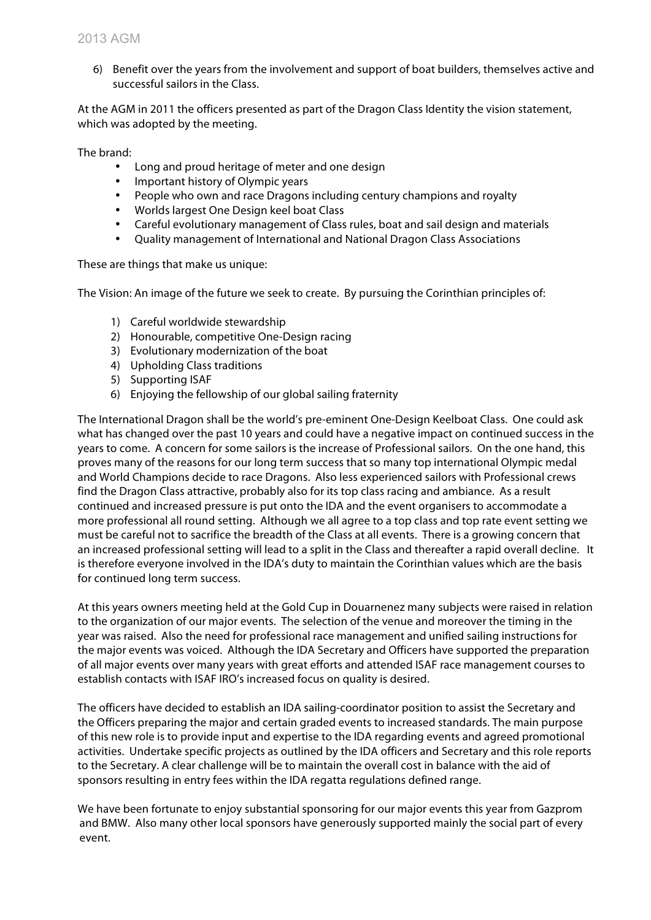6) Benefit over the years from the involvement and support of boat builders, themselves active and successful sailors in the Class.

At the AGM in 2011 the officers presented as part of the Dragon Class Identity the vision statement, which was adopted by the meeting.

The brand:

- Long and proud heritage of meter and one design
- Important history of Olympic years
- People who own and race Dragons including century champions and royalty
- Worlds largest One Design keel boat Class
- Careful evolutionary management of Class rules, boat and sail design and materials
- Quality management of International and National Dragon Class Associations

These are things that make us unique:

The Vision: An image of the future we seek to create. By pursuing the Corinthian principles of:

- 1) Careful worldwide stewardship
- 2) Honourable, competitive One-Design racing
- 3) Evolutionary modernization of the boat
- 4) Upholding Class traditions
- 5) Supporting ISAF
- 6) Enjoying the fellowship of our global sailing fraternity

The International Dragon shall be the world's pre-eminent One-Design Keelboat Class. One could ask what has changed over the past 10 years and could have a negative impact on continued success in the years to come. A concern for some sailors is the increase of Professional sailors. On the one hand, this proves many of the reasons for our long term success that so many top international Olympic medal and World Champions decide to race Dragons. Also less experienced sailors with Professional crews find the Dragon Class attractive, probably also for its top class racing and ambiance. As a result continued and increased pressure is put onto the IDA and the event organisers to accommodate a more professional all round setting. Although we all agree to a top class and top rate event setting we must be careful not to sacrifice the breadth of the Class at all events. There is a growing concern that an increased professional setting will lead to a split in the Class and thereafter a rapid overall decline. It is therefore everyone involved in the IDA's duty to maintain the Corinthian values which are the basis for continued long term success.

At this years owners meeting held at the Gold Cup in Douarnenez many subjects were raised in relation to the organization of our major events. The selection of the venue and moreover the timing in the year was raised. Also the need for professional race management and unified sailing instructions for the major events was voiced. Although the IDA Secretary and Officers have supported the preparation of all major events over many years with great efforts and attended ISAF race management courses to establish contacts with ISAF IRO's increased focus on quality is desired.

The officers have decided to establish an IDA sailing-coordinator position to assist the Secretary and the Officers preparing the major and certain graded events to increased standards. The main purpose of this new role is to provide input and expertise to the IDA regarding events and agreed promotional activities. Undertake specific projects as outlined by the IDA officers and Secretary and this role reports to the Secretary. A clear challenge will be to maintain the overall cost in balance with the aid of sponsors resulting in entry fees within the IDA regatta regulations defined range.

We have been fortunate to enjoy substantial sponsoring for our major events this year from Gazprom and BMW. Also many other local sponsors have generously supported mainly the social part of every event.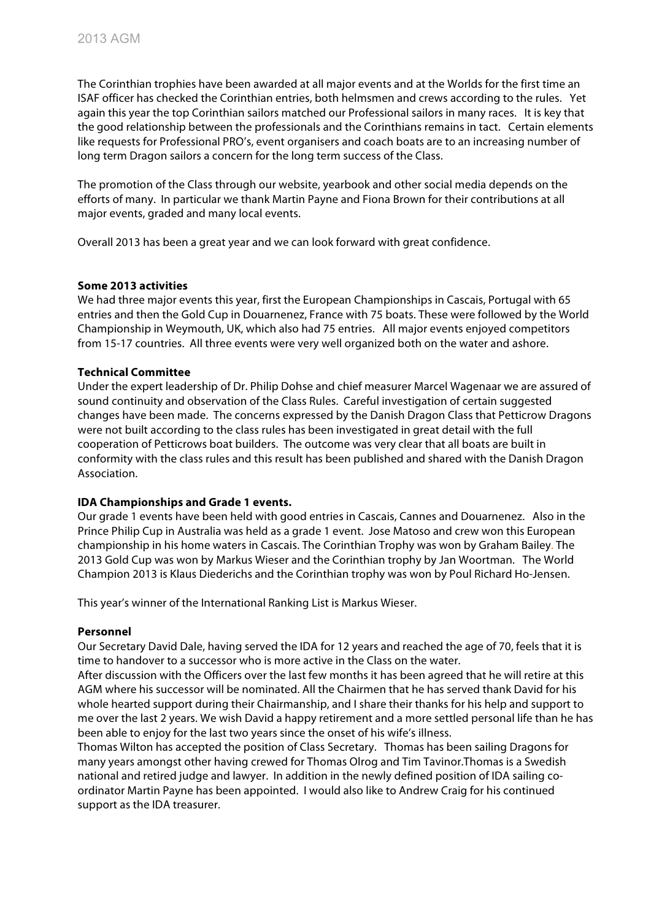The Corinthian trophies have been awarded at all major events and at the Worlds for the first time an ISAF officer has checked the Corinthian entries, both helmsmen and crews according to the rules. Yet again this year the top Corinthian sailors matched our Professional sailors in many races. It is key that the good relationship between the professionals and the Corinthians remains in tact. Certain elements like requests for Professional PRO's, event organisers and coach boats are to an increasing number of long term Dragon sailors a concern for the long term success of the Class.

The promotion of the Class through our website, yearbook and other social media depends on the efforts of many. In particular we thank Martin Payne and Fiona Brown for their contributions at all major events, graded and many local events.

Overall 2013 has been a great year and we can look forward with great confidence.

# **Some 2013 activities**

We had three major events this year, first the European Championships in Cascais, Portugal with 65 entries and then the Gold Cup in Douarnenez, France with 75 boats. These were followed by the World Championship in Weymouth, UK, which also had 75 entries. All major events enjoyed competitors from 15-17 countries. All three events were very well organized both on the water and ashore.

#### **Technical Committee**

Under the expert leadership of Dr. Philip Dohse and chief measurer Marcel Wagenaar we are assured of sound continuity and observation of the Class Rules. Careful investigation of certain suggested changes have been made. The concerns expressed by the Danish Dragon Class that Petticrow Dragons were not built according to the class rules has been investigated in great detail with the full cooperation of Petticrows boat builders. The outcome was very clear that all boats are built in conformity with the class rules and this result has been published and shared with the Danish Dragon Association.

#### **IDA Championships and Grade 1 events.**

Our grade 1 events have been held with good entries in Cascais, Cannes and Douarnenez. Also in the Prince Philip Cup in Australia was held as a grade 1 event. Jose Matoso and crew won this European championship in his home waters in Cascais. The Corinthian Trophy was won by Graham Bailey. The 2013 Gold Cup was won by Markus Wieser and the Corinthian trophy by Jan Woortman. The World Champion 2013 is Klaus Diederichs and the Corinthian trophy was won by Poul Richard Ho-Jensen.

This year's winner of the International Ranking List is Markus Wieser.

#### **Personnel**

Our Secretary David Dale, having served the IDA for 12 years and reached the age of 70, feels that it is time to handover to a successor who is more active in the Class on the water.

After discussion with the Officers over the last few months it has been agreed that he will retire at this AGM where his successor will be nominated. All the Chairmen that he has served thank David for his whole hearted support during their Chairmanship, and I share their thanks for his help and support to me over the last 2 years. We wish David a happy retirement and a more settled personal life than he has been able to enjoy for the last two years since the onset of his wife's illness.

Thomas Wilton has accepted the position of Class Secretary. Thomas has been sailing Dragons for many years amongst other having crewed for Thomas Olrog and Tim Tavinor.Thomas is a Swedish national and retired judge and lawyer. In addition in the newly defined position of IDA sailing coordinator Martin Payne has been appointed. I would also like to Andrew Craig for his continued support as the IDA treasurer.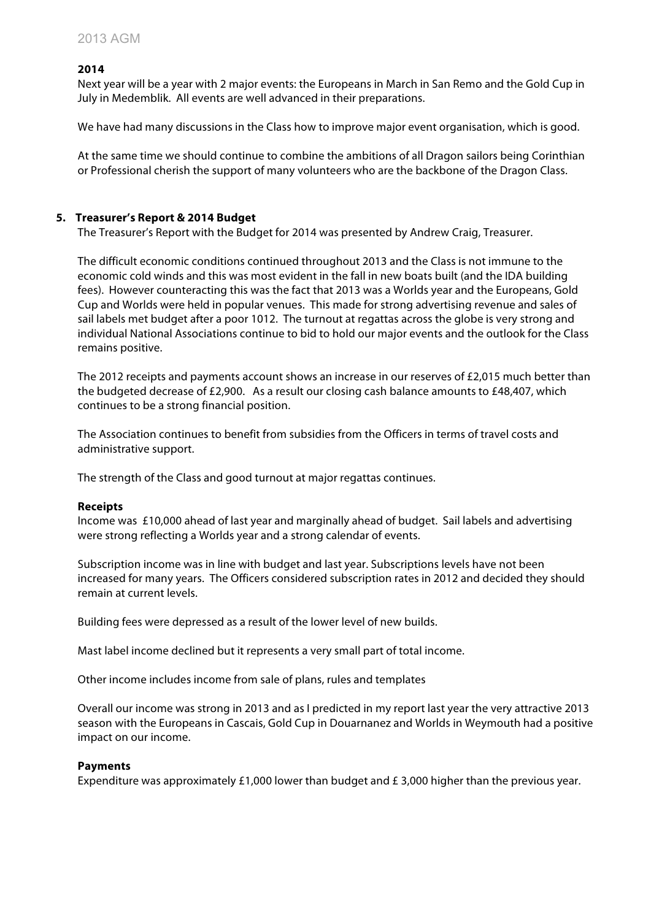# **2014**

Next year will be a year with 2 major events: the Europeans in March in San Remo and the Gold Cup in July in Medemblik. All events are well advanced in their preparations.

We have had many discussions in the Class how to improve major event organisation, which is good.

At the same time we should continue to combine the ambitions of all Dragon sailors being Corinthian or Professional cherish the support of many volunteers who are the backbone of the Dragon Class.

#### **5. Treasurer's Report & 2014 Budget**

The Treasurer's Report with the Budget for 2014 was presented by Andrew Craig, Treasurer.

The difficult economic conditions continued throughout 2013 and the Class is not immune to the economic cold winds and this was most evident in the fall in new boats built (and the IDA building fees). However counteracting this was the fact that 2013 was a Worlds year and the Europeans, Gold Cup and Worlds were held in popular venues. This made for strong advertising revenue and sales of sail labels met budget after a poor 1012. The turnout at regattas across the globe is very strong and individual National Associations continue to bid to hold our major events and the outlook for the Class remains positive.

The 2012 receipts and payments account shows an increase in our reserves of £2,015 much better than the budgeted decrease of £2,900. As a result our closing cash balance amounts to £48,407, which continues to be a strong financial position.

The Association continues to benefit from subsidies from the Officers in terms of travel costs and administrative support.

The strength of the Class and good turnout at major regattas continues.

#### **Receipts**

Income was £10,000 ahead of last year and marginally ahead of budget. Sail labels and advertising were strong reflecting a Worlds year and a strong calendar of events.

Subscription income was in line with budget and last year. Subscriptions levels have not been increased for many years. The Officers considered subscription rates in 2012 and decided they should remain at current levels.

Building fees were depressed as a result of the lower level of new builds.

Mast label income declined but it represents a very small part of total income.

Other income includes income from sale of plans, rules and templates

Overall our income was strong in 2013 and as I predicted in my report last year the very attractive 2013 season with the Europeans in Cascais, Gold Cup in Douarnanez and Worlds in Weymouth had a positive impact on our income.

#### **Payments**

Expenditure was approximately £1,000 lower than budget and £ 3,000 higher than the previous year.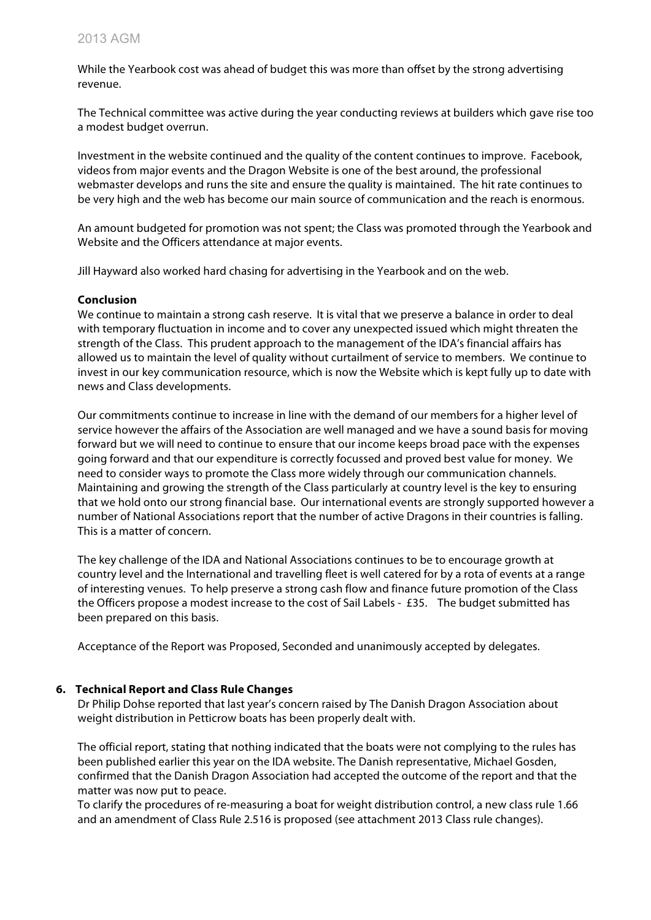While the Yearbook cost was ahead of budget this was more than offset by the strong advertising revenue.

The Technical committee was active during the year conducting reviews at builders which gave rise too a modest budget overrun.

Investment in the website continued and the quality of the content continues to improve. Facebook, videos from major events and the Dragon Website is one of the best around, the professional webmaster develops and runs the site and ensure the quality is maintained. The hit rate continues to be very high and the web has become our main source of communication and the reach is enormous.

An amount budgeted for promotion was not spent; the Class was promoted through the Yearbook and Website and the Officers attendance at major events.

Jill Hayward also worked hard chasing for advertising in the Yearbook and on the web.

# **Conclusion**

We continue to maintain a strong cash reserve. It is vital that we preserve a balance in order to deal with temporary fluctuation in income and to cover any unexpected issued which might threaten the strength of the Class. This prudent approach to the management of the IDA's financial affairs has allowed us to maintain the level of quality without curtailment of service to members. We continue to invest in our key communication resource, which is now the Website which is kept fully up to date with news and Class developments.

Our commitments continue to increase in line with the demand of our members for a higher level of service however the affairs of the Association are well managed and we have a sound basis for moving forward but we will need to continue to ensure that our income keeps broad pace with the expenses going forward and that our expenditure is correctly focussed and proved best value for money. We need to consider ways to promote the Class more widely through our communication channels. Maintaining and growing the strength of the Class particularly at country level is the key to ensuring that we hold onto our strong financial base. Our international events are strongly supported however a number of National Associations report that the number of active Dragons in their countries is falling. This is a matter of concern.

The key challenge of the IDA and National Associations continues to be to encourage growth at country level and the International and travelling fleet is well catered for by a rota of events at a range of interesting venues. To help preserve a strong cash flow and finance future promotion of the Class the Officers propose a modest increase to the cost of Sail Labels - £35. The budget submitted has been prepared on this basis.

Acceptance of the Report was Proposed, Seconded and unanimously accepted by delegates.

# **6. Technical Report and Class Rule Changes**

Dr Philip Dohse reported that last year's concern raised by The Danish Dragon Association about weight distribution in Petticrow boats has been properly dealt with.

The official report, stating that nothing indicated that the boats were not complying to the rules has been published earlier this year on the IDA website. The Danish representative, Michael Gosden, confirmed that the Danish Dragon Association had accepted the outcome of the report and that the matter was now put to peace.

To clarify the procedures of re-measuring a boat for weight distribution control, a new class rule 1.66 and an amendment of Class Rule 2.516 is proposed (see attachment 2013 Class rule changes).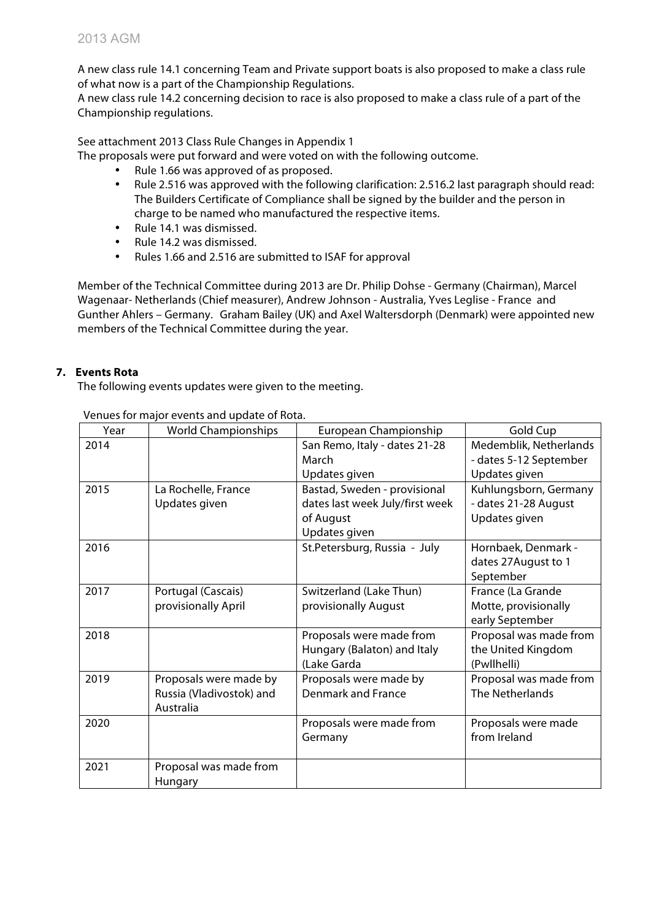A new class rule 14.1 concerning Team and Private support boats is also proposed to make a class rule of what now is a part of the Championship Regulations.

A new class rule 14.2 concerning decision to race is also proposed to make a class rule of a part of the Championship regulations.

See attachment 2013 Class Rule Changes in Appendix 1

The proposals were put forward and were voted on with the following outcome.

- Rule 1.66 was approved of as proposed.
- Rule 2.516 was approved with the following clarification: 2.516.2 last paragraph should read: The Builders Certificate of Compliance shall be signed by the builder and the person in charge to be named who manufactured the respective items.
- Rule 14.1 was dismissed.
- Rule 14.2 was dismissed.
- Rules 1.66 and 2.516 are submitted to ISAF for approval

Member of the Technical Committee during 2013 are Dr. Philip Dohse - Germany (Chairman), Marcel Wagenaar- Netherlands (Chief measurer), Andrew Johnson - Australia, Yves Leglise - France and Gunther Ahlers – Germany. Graham Bailey (UK) and Axel Waltersdorph (Denmark) were appointed new members of the Technical Committee during the year.

# **7. Events Rota**

The following events updates were given to the meeting.

| Year | <b>World Championships</b> | European Championship           | Gold Cup               |
|------|----------------------------|---------------------------------|------------------------|
| 2014 |                            | San Remo, Italy - dates 21-28   | Medemblik, Netherlands |
|      |                            | March                           | - dates 5-12 September |
|      |                            | Updates given                   | Updates given          |
| 2015 | La Rochelle, France        | Bastad, Sweden - provisional    | Kuhlungsborn, Germany  |
|      | Updates given              | dates last week July/first week | - dates 21-28 August   |
|      |                            | of August                       | Updates given          |
|      |                            | Updates given                   |                        |
| 2016 |                            | St.Petersburg, Russia - July    | Hornbaek, Denmark -    |
|      |                            |                                 | dates 27 August to 1   |
|      |                            |                                 | September              |
| 2017 | Portugal (Cascais)         | Switzerland (Lake Thun)         | France (La Grande      |
|      | provisionally April        | provisionally August            | Motte, provisionally   |
|      |                            |                                 | early September        |
| 2018 |                            | Proposals were made from        | Proposal was made from |
|      |                            | Hungary (Balaton) and Italy     | the United Kingdom     |
|      |                            | (Lake Garda                     | (Pwllhelli)            |
| 2019 | Proposals were made by     | Proposals were made by          | Proposal was made from |
|      | Russia (Vladivostok) and   | <b>Denmark and France</b>       | <b>The Netherlands</b> |
|      | Australia                  |                                 |                        |
| 2020 |                            | Proposals were made from        | Proposals were made    |
|      |                            | Germany                         | from Ireland           |
|      |                            |                                 |                        |
| 2021 | Proposal was made from     |                                 |                        |
|      | Hungary                    |                                 |                        |

Venues for major events and update of Rota.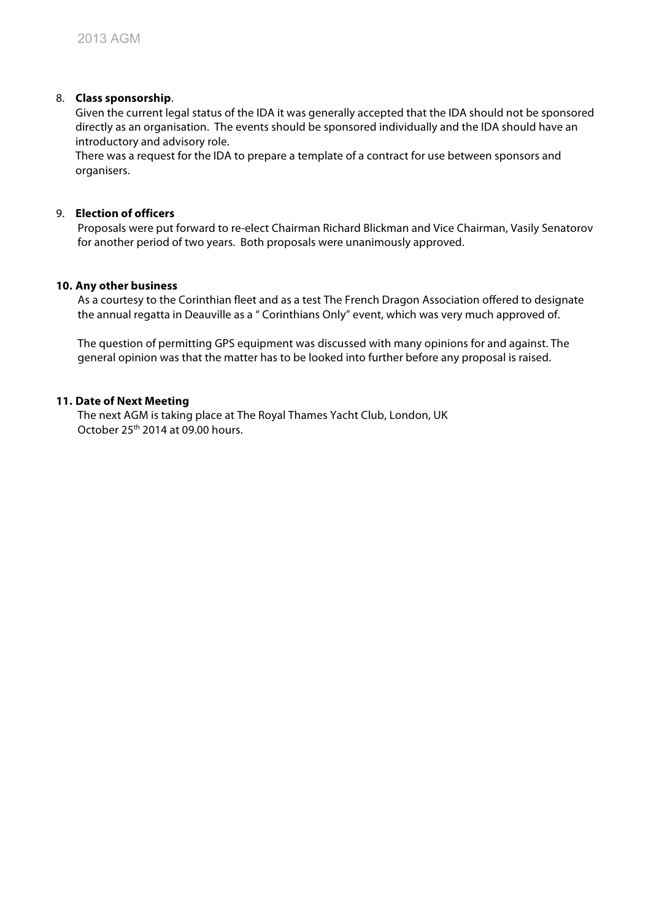# 8. **Class sponsorship**.

Given the current legal status of the IDA it was generally accepted that the IDA should not be sponsored directly as an organisation. The events should be sponsored individually and the IDA should have an introductory and advisory role.

There was a request for the IDA to prepare a template of a contract for use between sponsors and organisers.

# 9. **Election of officers**

Proposals were put forward to re-elect Chairman Richard Blickman and Vice Chairman, Vasily Senatorov for another period of two years. Both proposals were unanimously approved.

# **10. Any other business**

As a courtesy to the Corinthian fleet and as a test The French Dragon Association offered to designate the annual regatta in Deauville as a " Corinthians Only" event, which was very much approved of.

The question of permitting GPS equipment was discussed with many opinions for and against. The general opinion was that the matter has to be looked into further before any proposal is raised.

# **11. Date of Next Meeting**

The next AGM is taking place at The Royal Thames Yacht Club, London, UK October 25th 2014 at 09.00 hours.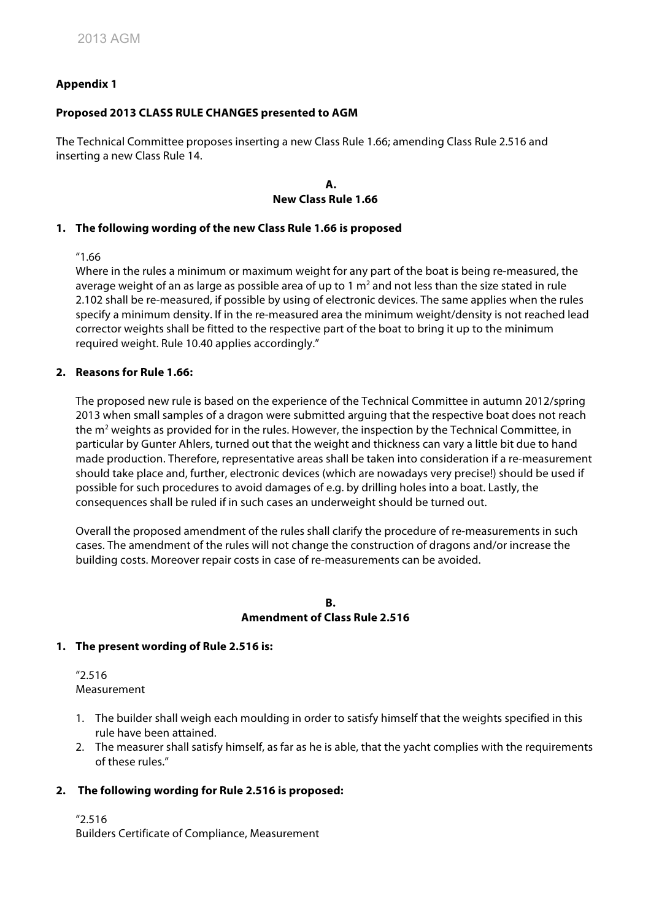# **Appendix 1**

# **Proposed 2013 CLASS RULE CHANGES presented to AGM**

The Technical Committee proposes inserting a new Class Rule 1.66; amending Class Rule 2.516 and inserting a new Class Rule 14.

#### **A. New Class Rule 1.66**

# **1. The following wording of the new Class Rule 1.66 is proposed**

"1.66

Where in the rules a minimum or maximum weight for any part of the boat is being re-measured, the average weight of an as large as possible area of up to 1  $\text{m}^2$  and not less than the size stated in rule 2.102 shall be re-measured, if possible by using of electronic devices. The same applies when the rules specify a minimum density. If in the re-measured area the minimum weight/density is not reached lead corrector weights shall be fitted to the respective part of the boat to bring it up to the minimum required weight. Rule 10.40 applies accordingly."

#### **2. Reasons for Rule 1.66:**

The proposed new rule is based on the experience of the Technical Committee in autumn 2012/spring 2013 when small samples of a dragon were submitted arguing that the respective boat does not reach the m<sup>2</sup> weights as provided for in the rules. However, the inspection by the Technical Committee, in particular by Gunter Ahlers, turned out that the weight and thickness can vary a little bit due to hand made production. Therefore, representative areas shall be taken into consideration if a re-measurement should take place and, further, electronic devices (which are nowadays very precise!) should be used if possible for such procedures to avoid damages of e.g. by drilling holes into a boat. Lastly, the consequences shall be ruled if in such cases an underweight should be turned out.

Overall the proposed amendment of the rules shall clarify the procedure of re-measurements in such cases. The amendment of the rules will not change the construction of dragons and/or increase the building costs. Moreover repair costs in case of re-measurements can be avoided.

#### **B. Amendment of Class Rule 2.516**

# **1. The present wording of Rule 2.516 is:**

"2.516 Measurement

- 1. The builder shall weigh each moulding in order to satisfy himself that the weights specified in this rule have been attained.
- 2. The measurer shall satisfy himself, as far as he is able, that the yacht complies with the requirements of these rules."

# **2. The following wording for Rule 2.516 is proposed:**

"2.516

Builders Certificate of Compliance, Measurement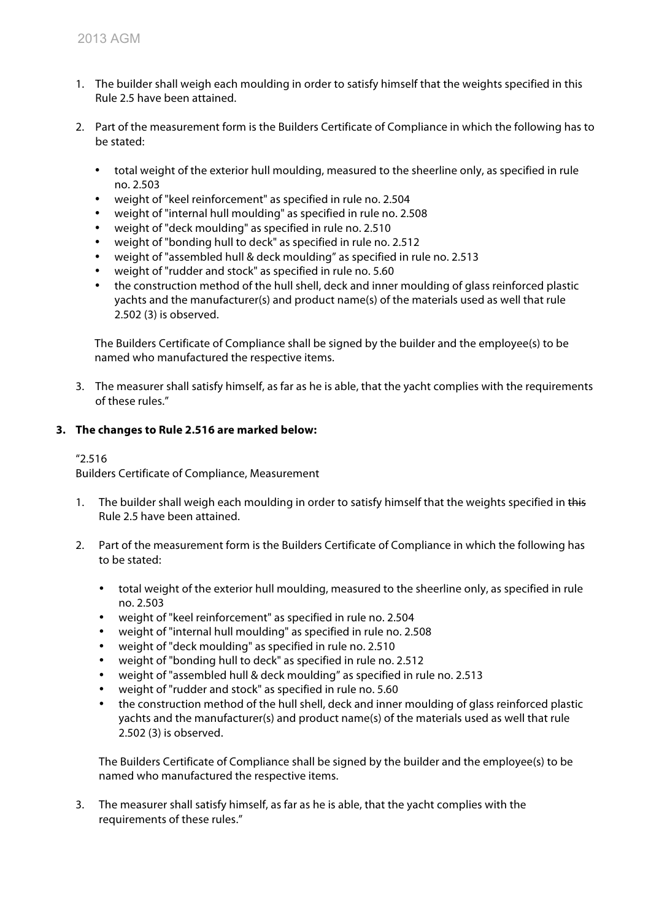- 1. The builder shall weigh each moulding in order to satisfy himself that the weights specified in this Rule 2.5 have been attained.
- 2. Part of the measurement form is the Builders Certificate of Compliance in which the following has to be stated:
	- total weight of the exterior hull moulding, measured to the sheerline only, as specified in rule no. 2.503
	- weight of "keel reinforcement" as specified in rule no. 2.504
	- weight of "internal hull moulding" as specified in rule no. 2.508
	- weight of "deck moulding" as specified in rule no. 2.510
	- weight of "bonding hull to deck" as specified in rule no. 2.512
	- weight of "assembled hull & deck moulding" as specified in rule no. 2.513
	- weight of "rudder and stock" as specified in rule no. 5.60
	- the construction method of the hull shell, deck and inner moulding of glass reinforced plastic yachts and the manufacturer(s) and product name(s) of the materials used as well that rule 2.502 (3) is observed.

The Builders Certificate of Compliance shall be signed by the builder and the employee(s) to be named who manufactured the respective items.

3. The measurer shall satisfy himself, as far as he is able, that the yacht complies with the requirements of these rules."

# **3. The changes to Rule 2.516 are marked below:**

# "2.516

Builders Certificate of Compliance, Measurement

- 1. The builder shall weigh each moulding in order to satisfy himself that the weights specified in this Rule 2.5 have been attained.
- 2. Part of the measurement form is the Builders Certificate of Compliance in which the following has to be stated:
	- total weight of the exterior hull moulding, measured to the sheerline only, as specified in rule no. 2.503
	- weight of "keel reinforcement" as specified in rule no. 2.504
	- weight of "internal hull moulding" as specified in rule no. 2.508
	- weight of "deck moulding" as specified in rule no. 2.510
	- weight of "bonding hull to deck" as specified in rule no. 2.512
	- weight of "assembled hull & deck moulding" as specified in rule no. 2.513
	- weight of "rudder and stock" as specified in rule no. 5.60
	- the construction method of the hull shell, deck and inner moulding of glass reinforced plastic yachts and the manufacturer(s) and product name(s) of the materials used as well that rule 2.502 (3) is observed.

The Builders Certificate of Compliance shall be signed by the builder and the employee(s) to be named who manufactured the respective items.

3. The measurer shall satisfy himself, as far as he is able, that the yacht complies with the requirements of these rules."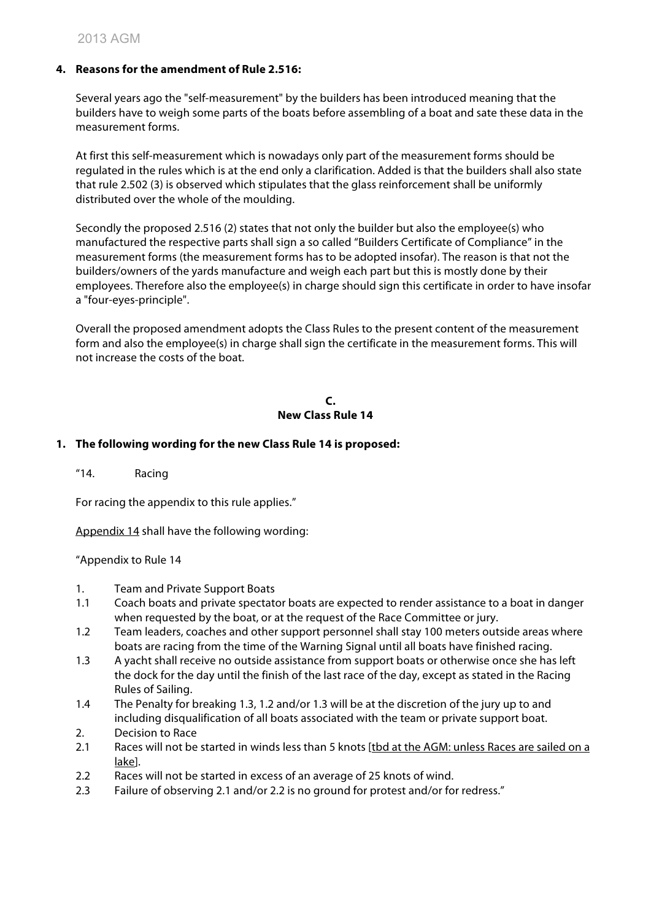# **4. Reasons for the amendment of Rule 2.516:**

Several years ago the "self-measurement" by the builders has been introduced meaning that the builders have to weigh some parts of the boats before assembling of a boat and sate these data in the measurement forms.

At first this self-measurement which is nowadays only part of the measurement forms should be regulated in the rules which is at the end only a clarification. Added is that the builders shall also state that rule 2.502 (3) is observed which stipulates that the glass reinforcement shall be uniformly distributed over the whole of the moulding.

Secondly the proposed 2.516 (2) states that not only the builder but also the employee(s) who manufactured the respective parts shall sign a so called "Builders Certificate of Compliance" in the measurement forms (the measurement forms has to be adopted insofar). The reason is that not the builders/owners of the yards manufacture and weigh each part but this is mostly done by their employees. Therefore also the employee(s) in charge should sign this certificate in order to have insofar a "four-eyes-principle".

Overall the proposed amendment adopts the Class Rules to the present content of the measurement form and also the employee(s) in charge shall sign the certificate in the measurement forms. This will not increase the costs of the boat.

#### **C. New Class Rule 14**

# **1. The following wording for the new Class Rule 14 is proposed:**

"14. Racing

For racing the appendix to this rule applies."

Appendix 14 shall have the following wording:

"Appendix to Rule 14

- 1. Team and Private Support Boats
- 1.1 Coach boats and private spectator boats are expected to render assistance to a boat in danger when requested by the boat, or at the request of the Race Committee or jury.
- 1.2 Team leaders, coaches and other support personnel shall stay 100 meters outside areas where boats are racing from the time of the Warning Signal until all boats have finished racing.
- 1.3 A yacht shall receive no outside assistance from support boats or otherwise once she has left the dock for the day until the finish of the last race of the day, except as stated in the Racing Rules of Sailing.
- 1.4 The Penalty for breaking 1.3, 1.2 and/or 1.3 will be at the discretion of the jury up to and including disqualification of all boats associated with the team or private support boat.
- 2. Decision to Race
- 2.1 Races will not be started in winds less than 5 knots [tbd at the AGM: unless Races are sailed on a lake].
- 2.2 Races will not be started in excess of an average of 25 knots of wind.
- 2.3 Failure of observing 2.1 and/or 2.2 is no ground for protest and/or for redress."